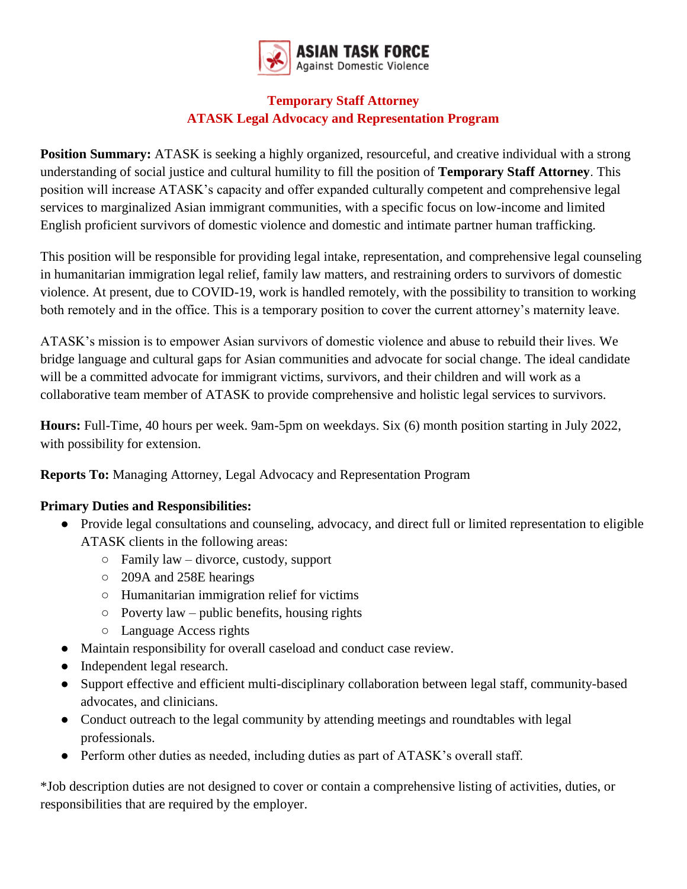

## **Temporary Staff Attorney ATASK Legal Advocacy and Representation Program**

**Position Summary:** ATASK is seeking a highly organized, resourceful, and creative individual with a strong understanding of social justice and cultural humility to fill the position of **Temporary Staff Attorney**. This position will increase ATASK's capacity and offer expanded culturally competent and comprehensive legal services to marginalized Asian immigrant communities, with a specific focus on low-income and limited English proficient survivors of domestic violence and domestic and intimate partner human trafficking.

This position will be responsible for providing legal intake, representation, and comprehensive legal counseling in humanitarian immigration legal relief, family law matters, and restraining orders to survivors of domestic violence. At present, due to COVID-19, work is handled remotely, with the possibility to transition to working both remotely and in the office. This is a temporary position to cover the current attorney's maternity leave.

ATASK's mission is to empower Asian survivors of domestic violence and abuse to rebuild their lives. We bridge language and cultural gaps for Asian communities and advocate for social change. The ideal candidate will be a committed advocate for immigrant victims, survivors, and their children and will work as a collaborative team member of ATASK to provide comprehensive and holistic legal services to survivors.

**Hours:** Full-Time, 40 hours per week. 9am-5pm on weekdays. Six (6) month position starting in July 2022, with possibility for extension.

**Reports To:** Managing Attorney, Legal Advocacy and Representation Program

## **Primary Duties and Responsibilities:**

- Provide legal consultations and counseling, advocacy, and direct full or limited representation to eligible ATASK clients in the following areas:
	- Family law divorce, custody, support
	- 209A and 258E hearings
	- Humanitarian immigration relief for victims
	- $\circ$  Poverty law public benefits, housing rights
	- Language Access rights
- Maintain responsibility for overall caseload and conduct case review.
- Independent legal research.
- Support effective and efficient multi-disciplinary collaboration between legal staff, community-based advocates, and clinicians.
- Conduct outreach to the legal community by attending meetings and roundtables with legal professionals.
- Perform other duties as needed, including duties as part of ATASK's overall staff.

\*Job description duties are not designed to cover or contain a comprehensive listing of activities, duties, or responsibilities that are required by the employer.